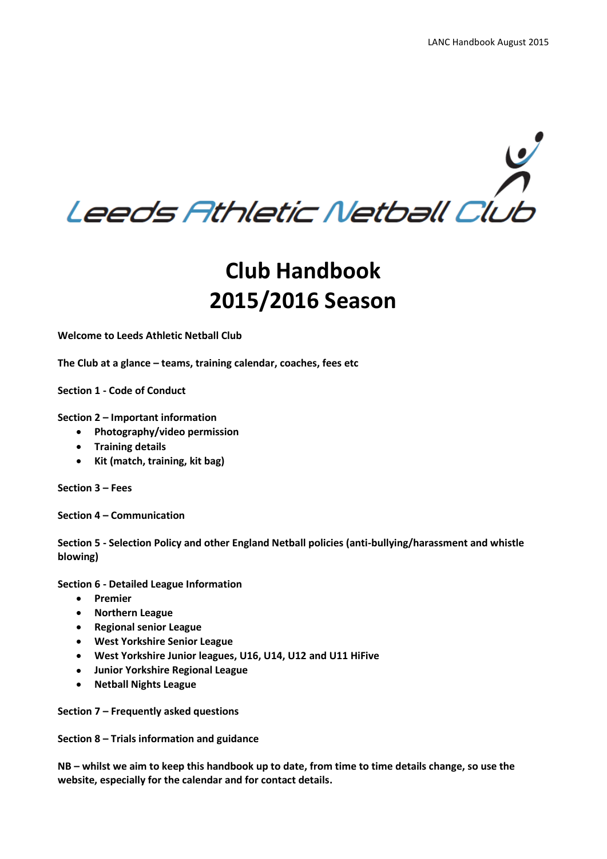

# **2015/2016 Season**

**Welcome to Leeds Athletic Netball Club**

**The Club at a glance – teams, training calendar, coaches, fees etc** 

**Section 1 - Code of Conduct**

**Section 2 – Important information** 

- **Photography/video permission**
- **•** Training details
- **Kit (match, training, kit bag)**

**Section 3 – Fees**

**Section 4 – Communication** 

**Section 5 - Selection Policy and other England Netball policies (anti-bullying/harassment and whistle blowing)**

**Section 6 - Detailed League Information**

- **Premier**
- **Northern League**
- **Regional senior League**
- **West Yorkshire Senior League**
- **West Yorkshire Junior leagues, U16, U14, U12 and U11 HiFive**
- **Junior Yorkshire Regional League**
- **Netball Nights League**

**Section 7 – Frequently asked questions**

**Section 8 – Trials information and guidance**

**NB – whilst we aim to keep this handbook up to date, from time to time details change, so use the website, especially for the calendar and for contact details.**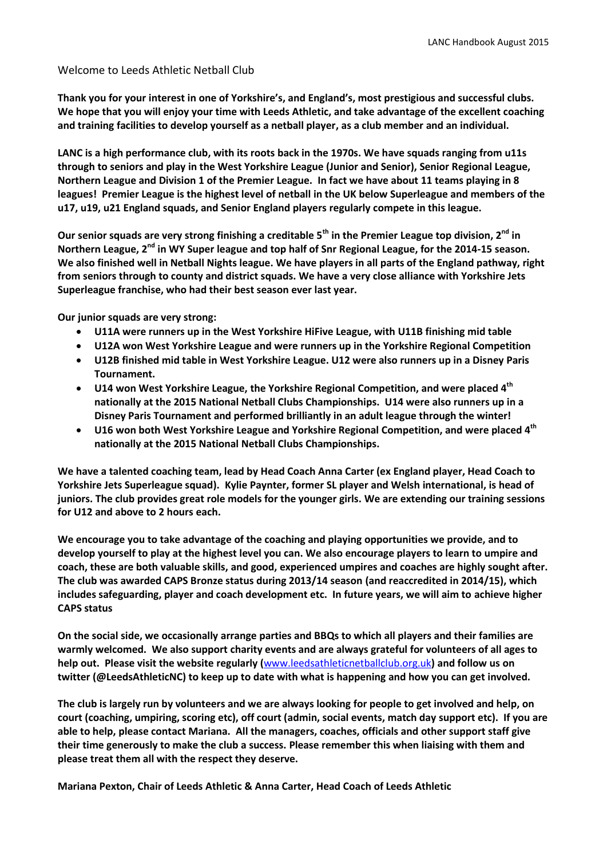#### Welcome to Leeds Athletic Netball Club

**Thank you for your interest in one of Yorkshire's, and England's, most prestigious and successful clubs. We hope that you will enjoy your time with Leeds Athletic, and take advantage of the excellent coaching and training facilities to develop yourself as a netball player, as a club member and an individual.**

**LANC is a high performance club, with its roots back in the 1970s. We have squads ranging from u11s through to seniors and play in the West Yorkshire League (Junior and Senior), Senior Regional League, Northern League and Division 1 of the Premier League. In fact we have about 11 teams playing in 8 leagues! Premier League is the highest level of netball in the UK below Superleague and members of the u17, u19, u21 England squads, and Senior England players regularly compete in this league.** 

**Our senior squads are very strong finishing a creditable 5th in the Premier League top division, 2 nd in**  Northern League, 2<sup>nd</sup> in WY Super league and top half of Snr Regional League, for the 2014-15 season. **We also finished well in Netball Nights league. We have players in all parts of the England pathway, right from seniors through to county and district squads. We have a very close alliance with Yorkshire Jets Superleague franchise, who had their best season ever last year.** 

**Our junior squads are very strong:**

- **U11A were runners up in the West Yorkshire HiFive League, with U11B finishing mid table**
- **U12A won West Yorkshire League and were runners up in the Yorkshire Regional Competition**
- **U12B finished mid table in West Yorkshire League. U12 were also runners up in a Disney Paris Tournament.**
- **U14 won West Yorkshire League, the Yorkshire Regional Competition, and were placed 4th nationally at the 2015 National Netball Clubs Championships. U14 were also runners up in a Disney Paris Tournament and performed brilliantly in an adult league through the winter!**
- **U16 won both West Yorkshire League and Yorkshire Regional Competition, and were placed 4th nationally at the 2015 National Netball Clubs Championships.**

**We have a talented coaching team, lead by Head Coach Anna Carter (ex England player, Head Coach to Yorkshire Jets Superleague squad). Kylie Paynter, former SL player and Welsh international, is head of juniors. The club provides great role models for the younger girls. We are extending our training sessions for U12 and above to 2 hours each.** 

**We encourage you to take advantage of the coaching and playing opportunities we provide, and to develop yourself to play at the highest level you can. We also encourage players to learn to umpire and coach, these are both valuable skills, and good, experienced umpires and coaches are highly sought after. The club was awarded CAPS Bronze status during 2013/14 season (and reaccredited in 2014/15), which includes safeguarding, player and coach development etc. In future years, we will aim to achieve higher CAPS status**

**On the social side, we occasionally arrange parties and BBQs to which all players and their families are warmly welcomed. We also support charity events and are always grateful for volunteers of all ages to help out. Please visit the website regularly (**[www.leedsathleticnetballclub.org.uk](http://www.leedsathleticnetballclub.org.uk/)**) and follow us on twitter (@LeedsAthleticNC) to keep up to date with what is happening and how you can get involved.**

**The club is largely run by volunteers and we are always looking for people to get involved and help, on court (coaching, umpiring, scoring etc), off court (admin, social events, match day support etc). If you are able to help, please contact Mariana. All the managers, coaches, officials and other support staff give their time generously to make the club a success. Please remember this when liaising with them and please treat them all with the respect they deserve.**

**Mariana Pexton, Chair of Leeds Athletic & Anna Carter, Head Coach of Leeds Athletic**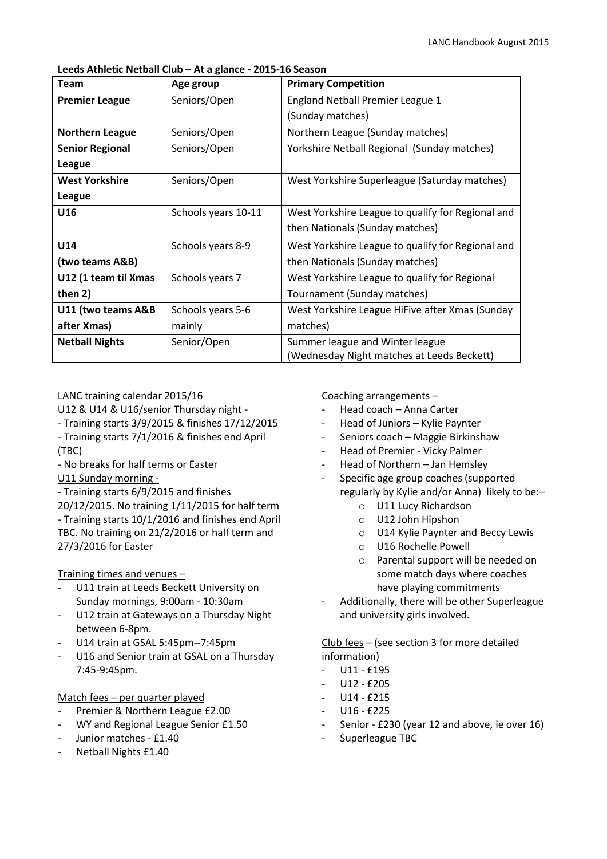#### **Leeds Athletic Netball Club – At a glance - 2015-16 Season**

| <b>Team</b>            | Age group           | <b>Primary Competition</b>                        |
|------------------------|---------------------|---------------------------------------------------|
| <b>Premier League</b>  | Seniors/Open        | England Netball Premier League 1                  |
|                        |                     | (Sunday matches)                                  |
| <b>Northern League</b> | Seniors/Open        | Northern League (Sunday matches)                  |
| <b>Senior Regional</b> | Seniors/Open        | Yorkshire Netball Regional (Sunday matches)       |
| League                 |                     |                                                   |
| <b>West Yorkshire</b>  | Seniors/Open        | West Yorkshire Superleague (Saturday matches)     |
| League                 |                     |                                                   |
| U16                    | Schools years 10-11 | West Yorkshire League to qualify for Regional and |
|                        |                     | then Nationals (Sunday matches)                   |
| U14                    | Schools years 8-9   | West Yorkshire League to qualify for Regional and |
| (two teams A&B)        |                     | then Nationals (Sunday matches)                   |
| U12 (1 team til Xmas   | Schools years 7     | West Yorkshire League to qualify for Regional     |
| then 2)                |                     | Tournament (Sunday matches)                       |
| U11 (two teams A&B     | Schools years 5-6   | West Yorkshire League HiFive after Xmas (Sunday   |
| after Xmas)            | mainly              | matches)                                          |
| <b>Netball Nights</b>  | Senior/Open         | Summer league and Winter league                   |
|                        |                     | (Wednesday Night matches at Leeds Beckett)        |

# LANC training calendar 2015/16

U12 & U14 & U16/senior Thursday night -

- Training starts 3/9/2015 & finishes 17/12/2015
- Training starts 7/1/2016 & finishes end April (TBC)
- No breaks for half terms or Easter U11 Sunday morning -

# - Training starts 6/9/2015 and finishes

20/12/2015. No training 1/11/2015 for half term - Training starts 10/1/2016 and finishes end April TBC. No training on 21/2/2016 or half term and 27/3/2016 for Easter

# Training times and venues –

- U11 train at Leeds Beckett University on Sunday mornings, 9:00am - 10:30am
- U12 train at Gateways on a Thursday Night between 6-8pm.
- U14 train at GSAL 5:45pm--7:45pm
- U16 and Senior train at GSAL on a Thursday 7:45-9:45pm.

# Match fees – per quarter played

- Premier & Northern League £2.00
- WY and Regional League Senior £1.50
- Junior matches £1.40
- Netball Nights £1.40

# Coaching arrangements –

- Head coach Anna Carter
- Head of Juniors Kylie Paynter
- Seniors coach Maggie Birkinshaw
- Head of Premier Vicky Palmer
- Head of Northern Jan Hemsley
- Specific age group coaches (supported regularly by Kylie and/or Anna) likely to be:–
	- o U11 Lucy Richardson
	- o U12 John Hipshon
	- o U14 Kylie Paynter and Beccy Lewis
	- o U16 Rochelle Powell
	- o Parental support will be needed on some match days where coaches have playing commitments
- Additionally, there will be other Superleague and university girls involved.

Club fees – (see section 3 for more detailed information)

- U11 £195
- U12 £205
- U14 £215
- U16 £225
- Senior £230 (year 12 and above, ie over 16)
- Superleague TBC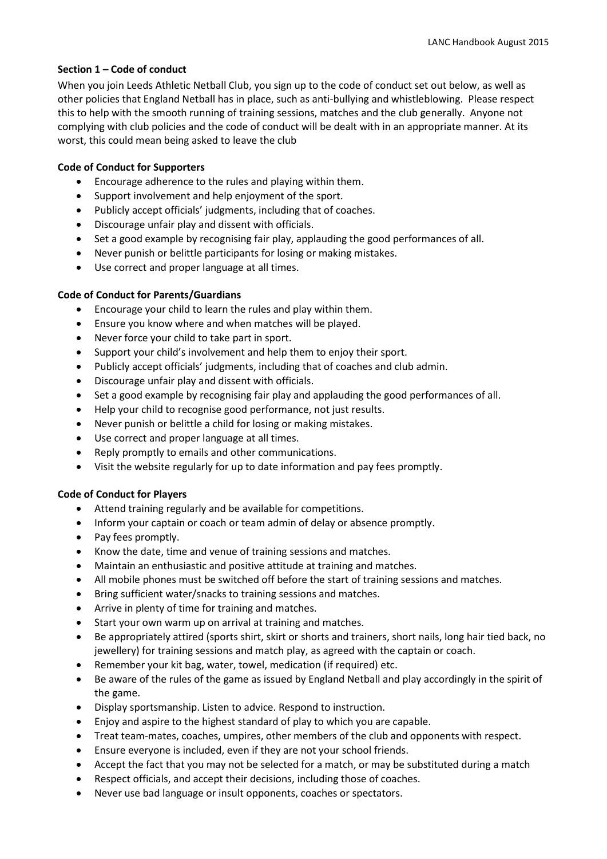# **Section 1 – Code of conduct**

When you join Leeds Athletic Netball Club, you sign up to the code of conduct set out below, as well as other policies that England Netball has in place, such as anti-bullying and whistleblowing. Please respect this to help with the smooth running of training sessions, matches and the club generally. Anyone not complying with club policies and the code of conduct will be dealt with in an appropriate manner. At its worst, this could mean being asked to leave the club

#### **Code of Conduct for Supporters**

- Encourage adherence to the rules and playing within them.
- Support involvement and help enjoyment of the sport.
- Publicly accept officials' judgments, including that of coaches.
- Discourage unfair play and dissent with officials.
- Set a good example by recognising fair play, applauding the good performances of all.
- Never punish or belittle participants for losing or making mistakes.
- Use correct and proper language at all times.

# **Code of Conduct for Parents/Guardians**

- Encourage your child to learn the rules and play within them.
- Ensure you know where and when matches will be played.
- Never force your child to take part in sport.
- Support your child's involvement and help them to enjoy their sport.
- Publicly accept officials' judgments, including that of coaches and club admin.
- Discourage unfair play and dissent with officials.
- Set a good example by recognising fair play and applauding the good performances of all.
- Help your child to recognise good performance, not just results.
- Never punish or belittle a child for losing or making mistakes.
- Use correct and proper language at all times.
- Reply promptly to emails and other communications.
- Visit the website regularly for up to date information and pay fees promptly.

#### **Code of Conduct for Players**

- Attend training regularly and be available for competitions.
- Inform your captain or coach or team admin of delay or absence promptly.
- Pay fees promptly.
- Know the date, time and venue of training sessions and matches.
- Maintain an enthusiastic and positive attitude at training and matches.
- All mobile phones must be switched off before the start of training sessions and matches.
- Bring sufficient water/snacks to training sessions and matches.
- Arrive in plenty of time for training and matches.
- Start your own warm up on arrival at training and matches.
- Be appropriately attired (sports shirt, skirt or shorts and trainers, short nails, long hair tied back, no jewellery) for training sessions and match play, as agreed with the captain or coach.
- Remember your kit bag, water, towel, medication (if required) etc.
- Be aware of the rules of the game as issued by England Netball and play accordingly in the spirit of the game.
- Display sportsmanship. Listen to advice. Respond to instruction.
- Enjoy and aspire to the highest standard of play to which you are capable.
- Treat team-mates, coaches, umpires, other members of the club and opponents with respect.
- Ensure everyone is included, even if they are not your school friends.
- Accept the fact that you may not be selected for a match, or may be substituted during a match
- Respect officials, and accept their decisions, including those of coaches.
- Never use bad language or insult opponents, coaches or spectators.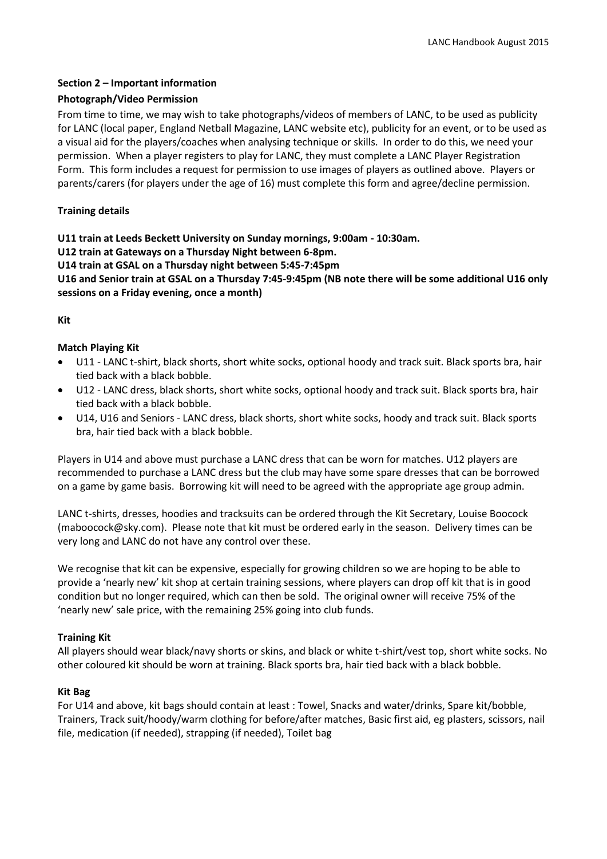# **Section 2 – Important information**

# **Photograph/Video Permission**

From time to time, we may wish to take photographs/videos of members of LANC, to be used as publicity for LANC (local paper, England Netball Magazine, LANC website etc), publicity for an event, or to be used as a visual aid for the players/coaches when analysing technique or skills. In order to do this, we need your permission. When a player registers to play for LANC, they must complete a LANC Player Registration Form. This form includes a request for permission to use images of players as outlined above. Players or parents/carers (for players under the age of 16) must complete this form and agree/decline permission.

# **Training details**

**U11 train at Leeds Beckett University on Sunday mornings, 9:00am - 10:30am.** 

**U12 train at Gateways on a Thursday Night between 6-8pm.** 

**U14 train at GSAL on a Thursday night between 5:45-7:45pm** 

**U16 and Senior train at GSAL on a Thursday 7:45-9:45pm (NB note there will be some additional U16 only sessions on a Friday evening, once a month)**

#### **Kit**

# **Match Playing Kit**

- U11 LANC t-shirt, black shorts, short white socks, optional hoody and track suit. Black sports bra, hair tied back with a black bobble.
- U12 LANC dress, black shorts, short white socks, optional hoody and track suit. Black sports bra, hair tied back with a black bobble.
- U14, U16 and Seniors LANC dress, black shorts, short white socks, hoody and track suit. Black sports bra, hair tied back with a black bobble.

Players in U14 and above must purchase a LANC dress that can be worn for matches. U12 players are recommended to purchase a LANC dress but the club may have some spare dresses that can be borrowed on a game by game basis. Borrowing kit will need to be agreed with the appropriate age group admin.

LANC t-shirts, dresses, hoodies and tracksuits can be ordered through the Kit Secretary, Louise Boocock [\(maboocock@sky.com\)](mailto:maboocock@sky.com). Please note that kit must be ordered early in the season. Delivery times can be very long and LANC do not have any control over these.

We recognise that kit can be expensive, especially for growing children so we are hoping to be able to provide a 'nearly new' kit shop at certain training sessions, where players can drop off kit that is in good condition but no longer required, which can then be sold. The original owner will receive 75% of the 'nearly new' sale price, with the remaining 25% going into club funds.

#### **Training Kit**

All players should wear black/navy shorts or skins, and black or white t-shirt/vest top, short white socks. No other coloured kit should be worn at training. Black sports bra, hair tied back with a black bobble.

#### **Kit Bag**

For U14 and above, kit bags should contain at least : Towel, Snacks and water/drinks, Spare kit/bobble, Trainers, Track suit/hoody/warm clothing for before/after matches, Basic first aid, eg plasters, scissors, nail file, medication (if needed), strapping (if needed), Toilet bag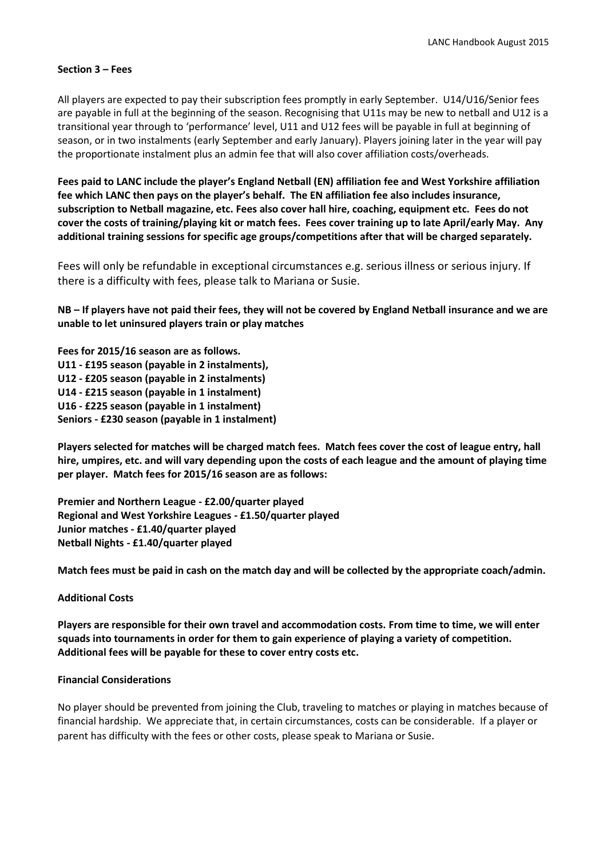#### **Section 3 – Fees**

All players are expected to pay their subscription fees promptly in early September. U14/U16/Senior fees are payable in full at the beginning of the season. Recognising that U11s may be new to netball and U12 is a transitional year through to 'performance' level, U11 and U12 fees will be payable in full at beginning of season, or in two instalments (early September and early January). Players joining later in the year will pay the proportionate instalment plus an admin fee that will also cover affiliation costs/overheads.

**Fees paid to LANC include the player's England Netball (EN) affiliation fee and West Yorkshire affiliation fee which LANC then pays on the player's behalf. The EN affiliation fee also includes insurance, subscription to Netball magazine, etc. Fees also cover hall hire, coaching, equipment etc. Fees do not cover the costs of training/playing kit or match fees. Fees cover training up to late April/early May. Any additional training sessions for specific age groups/competitions after that will be charged separately.**

Fees will only be refundable in exceptional circumstances e.g. serious illness or serious injury. If there is a difficulty with fees, please talk to Mariana or Susie.

**NB – If players have not paid their fees, they will not be covered by England Netball insurance and we are unable to let uninsured players train or play matches**

**Fees for 2015/16 season are as follows. U11 - £195 season (payable in 2 instalments), U12 - £205 season (payable in 2 instalments) U14 - £215 season (payable in 1 instalment) U16 - £225 season (payable in 1 instalment) Seniors - £230 season (payable in 1 instalment)**

**Players selected for matches will be charged match fees. Match fees cover the cost of league entry, hall hire, umpires, etc. and will vary depending upon the costs of each league and the amount of playing time per player. Match fees for 2015/16 season are as follows:**

**Premier and Northern League - £2.00/quarter played Regional and West Yorkshire Leagues - £1.50/quarter played Junior matches - £1.40/quarter played Netball Nights - £1.40/quarter played**

**Match fees must be paid in cash on the match day and will be collected by the appropriate coach/admin.**

#### **Additional Costs**

**Players are responsible for their own travel and accommodation costs. From time to time, we will enter squads into tournaments in order for them to gain experience of playing a variety of competition. Additional fees will be payable for these to cover entry costs etc.**

#### **Financial Considerations**

No player should be prevented from joining the Club, traveling to matches or playing in matches because of financial hardship. We appreciate that, in certain circumstances, costs can be considerable. If a player or parent has difficulty with the fees or other costs, please speak to Mariana or Susie.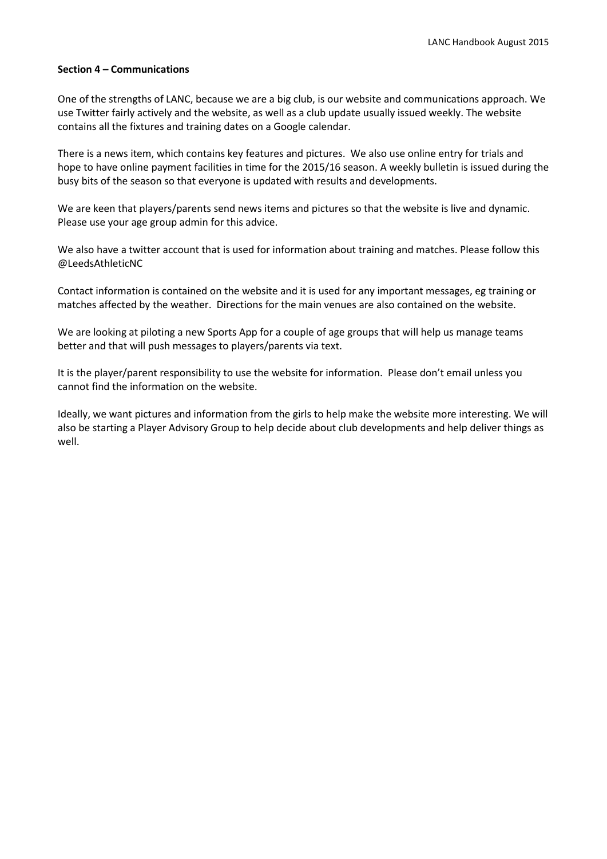#### **Section 4 – Communications**

One of the strengths of LANC, because we are a big club, is our website and communications approach. We use Twitter fairly actively and the website, as well as a club update usually issued weekly. The website contains all the fixtures and training dates on a Google calendar.

There is a news item, which contains key features and pictures. We also use online entry for trials and hope to have online payment facilities in time for the 2015/16 season. A weekly bulletin is issued during the busy bits of the season so that everyone is updated with results and developments.

We are keen that players/parents send news items and pictures so that the website is live and dynamic. Please use your age group admin for this advice.

We also have a twitter account that is used for information about training and matches. Please follow this @LeedsAthleticNC

Contact information is contained on the website and it is used for any important messages, eg training or matches affected by the weather. Directions for the main venues are also contained on the website.

We are looking at piloting a new Sports App for a couple of age groups that will help us manage teams better and that will push messages to players/parents via text.

It is the player/parent responsibility to use the website for information. Please don't email unless you cannot find the information on the website.

Ideally, we want pictures and information from the girls to help make the website more interesting. We will also be starting a Player Advisory Group to help decide about club developments and help deliver things as well.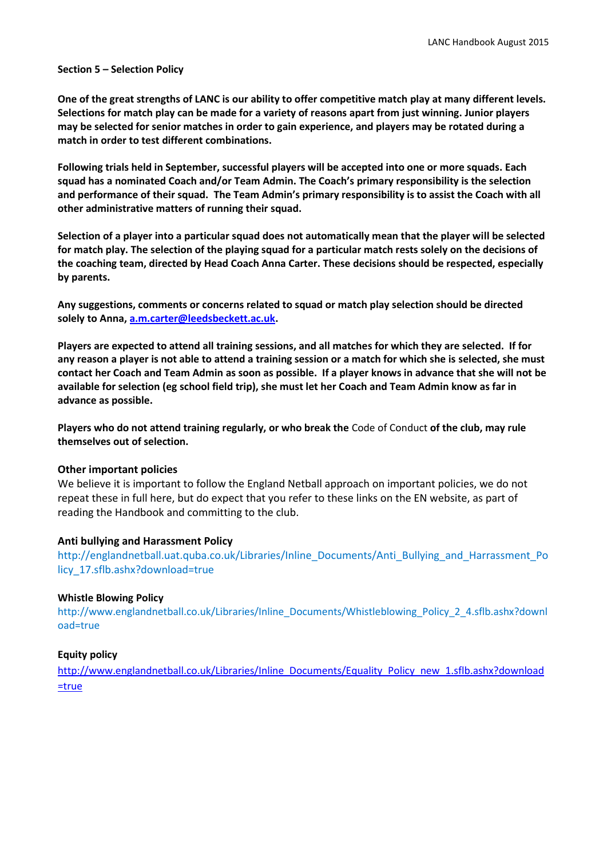#### **Section 5 – Selection Policy**

**One of the great strengths of LANC is our ability to offer competitive match play at many different levels. Selections for match play can be made for a variety of reasons apart from just winning. Junior players may be selected for senior matches in order to gain experience, and players may be rotated during a match in order to test different combinations.**

**Following trials held in September, successful players will be accepted into one or more squads. Each squad has a nominated Coach and/or Team Admin. The Coach's primary responsibility is the selection and performance of their squad. The Team Admin's primary responsibility is to assist the Coach with all other administrative matters of running their squad.**

**Selection of a player into a particular squad does not automatically mean that the player will be selected for match play. The selection of the playing squad for a particular match rests solely on the decisions of the coaching team, directed by Head Coach Anna Carter. These decisions should be respected, especially by parents.** 

**Any suggestions, comments or concerns related to squad or match play selection should be directed solely to Anna, [a.m.carter@leedsbeckett.ac.uk.](mailto:a.m.carter@leedsbeckett.ac.uk)**

**Players are expected to attend all training sessions, and all matches for which they are selected. If for any reason a player is not able to attend a training session or a match for which she is selected, she must contact her Coach and Team Admin as soon as possible. If a player knows in advance that she will not be available for selection (eg school field trip), she must let her Coach and Team Admin know as far in advance as possible.**

**Players who do not attend training regularly, or who break the** [Code of Conduct](http://www.leedsathleticnetballclub.org.uk/code-of-conduct.html) **of the club, may rule themselves out of selection.**

#### **Other important policies**

We believe it is important to follow the England Netball approach on important policies, we do not repeat these in full here, but do expect that you refer to these links on the EN website, as part of reading the Handbook and committing to the club.

#### **Anti bullying and Harassment Policy**

[http://englandnetball.uat.quba.co.uk/Libraries/Inline\\_Documents/Anti\\_Bullying\\_and\\_Harrassment\\_Po](http://englandnetball.uat.quba.co.uk/Libraries/Inline_Documents/Anti_Bullying_and_Harrassment_Policy_17.sflb.ashx?download=true) [licy\\_17.sflb.ashx?download=true](http://englandnetball.uat.quba.co.uk/Libraries/Inline_Documents/Anti_Bullying_and_Harrassment_Policy_17.sflb.ashx?download=true)

#### **Whistle Blowing Policy**

[http://www.englandnetball.co.uk/Libraries/Inline\\_Documents/Whistleblowing\\_Policy\\_2\\_4.sflb.ashx?downl](http://www.englandnetball.co.uk/Libraries/Inline_Documents/Whistleblowing_Policy_2_4.sflb.ashx?download=true) [oad=true](http://www.englandnetball.co.uk/Libraries/Inline_Documents/Whistleblowing_Policy_2_4.sflb.ashx?download=true)

#### **Equity policy**

[http://www.englandnetball.co.uk/Libraries/Inline\\_Documents/Equality\\_Policy\\_new\\_1.sflb.ashx?download](http://www.englandnetball.co.uk/Libraries/Inline_Documents/Equality_Policy_new_1.sflb.ashx?download=true) [=true](http://www.englandnetball.co.uk/Libraries/Inline_Documents/Equality_Policy_new_1.sflb.ashx?download=true)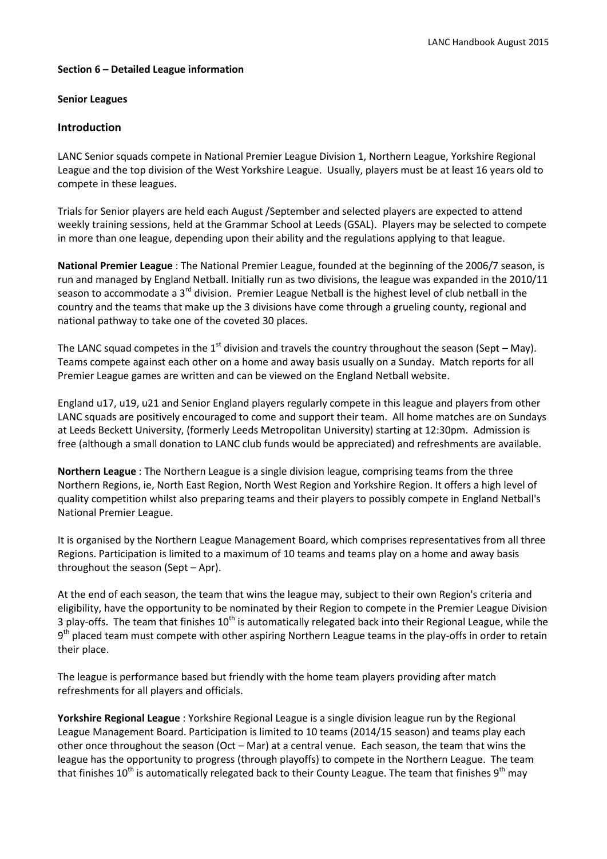#### **Section 6 – Detailed League information**

#### **Senior Leagues**

#### **Introduction**

LANC Senior squads compete in National Premier League Division 1, Northern League, Yorkshire Regional League and the top division of the West Yorkshire League. Usually, players must be at least 16 years old to compete in these leagues.

Trials for Senior players are held each August /September and selected players are expected to attend weekly training sessions, held at the Grammar School at Leeds (GSAL). Players may be selected to compete in more than one league, depending upon their ability and the regulations applying to that league.

**National Premier League** : The National Premier League, founded at the beginning of the 2006/7 season, is run and managed by England Netball. Initially run as two divisions, the league was expanded in the 2010/11 season to accommodate a 3<sup>rd</sup> division. Premier League Netball is the highest level of club netball in the country and the teams that make up the 3 divisions have come through a grueling county, regional and national pathway to take one of the coveted 30 places.

The LANC squad competes in the 1<sup>st</sup> division and travels the country throughout the season (Sept – May). Teams compete against each other on a home and away basis usually on a Sunday. Match reports for all Premier League games are written and can be viewed on the England Netball website.

England u17, u19, u21 and Senior England players regularly compete in this league and players from other LANC squads are positively encouraged to come and support their team. All home matches are on Sundays at Leeds Beckett University, (formerly Leeds Metropolitan University) starting at 12:30pm. Admission is free (although a small donation to LANC club funds would be appreciated) and refreshments are available.

**Northern League** : The Northern League is a single division league, comprising teams from the three Northern Regions, ie, North East Region, North West Region and Yorkshire Region. It offers a high level of quality competition whilst also preparing teams and their players to possibly compete in England Netball's National Premier League.

It is organised by the Northern League Management Board, which comprises representatives from all three Regions. Participation is limited to a maximum of 10 teams and teams play on a home and away basis throughout the season (Sept – Apr).

At the end of each season, the team that wins the league may, subject to their own Region's criteria and eligibility, have the opportunity to be nominated by their Region to compete in the Premier League Division 3 play-offs. The team that finishes  $10<sup>th</sup>$  is automatically relegated back into their Regional League, while the 9<sup>th</sup> placed team must compete with other aspiring Northern League teams in the play-offs in order to retain their place.

The league is performance based but friendly with the home team players providing after match refreshments for all players and officials.

**Yorkshire Regional League** : Yorkshire Regional League is a single division league run by the Regional League Management Board. Participation is limited to 10 teams (2014/15 season) and teams play each other once throughout the season (Oct – Mar) at a central venue. Each season, the team that wins the league has the opportunity to progress (through playoffs) to compete in the Northern League. The team that finishes  $10^{th}$  is automatically relegated back to their County League. The team that finishes  $9^{th}$  may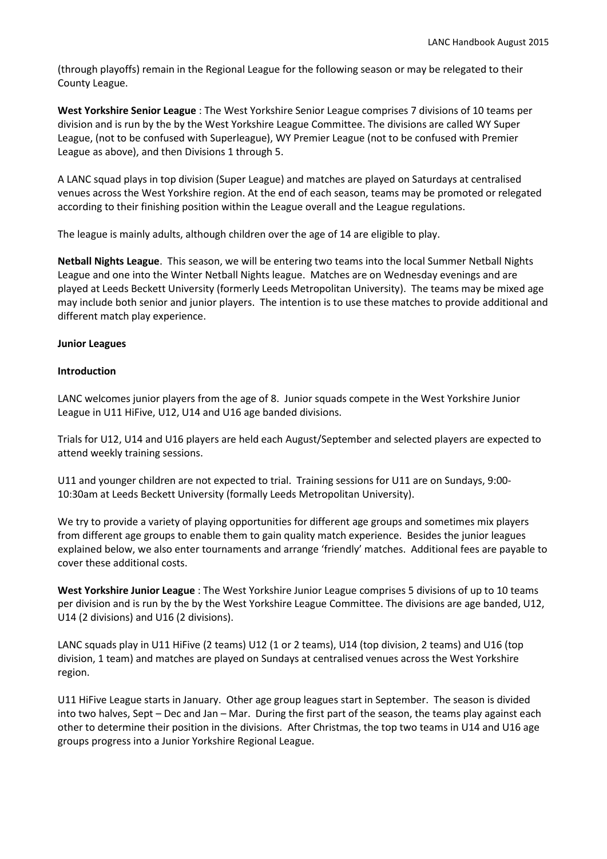(through playoffs) remain in the Regional League for the following season or may be relegated to their County League.

**West Yorkshire Senior League** : The West Yorkshire Senior League comprises 7 divisions of 10 teams per division and is run by the by the West Yorkshire League Committee. The divisions are called WY Super League, (not to be confused with Superleague), WY Premier League (not to be confused with Premier League as above), and then Divisions 1 through 5.

A LANC squad plays in top division (Super League) and matches are played on Saturdays at centralised venues across the West Yorkshire region. At the end of each season, teams may be promoted or relegated according to their finishing position within the League overall and the League regulations.

The league is mainly adults, although children over the age of 14 are eligible to play.

**Netball Nights League**. This season, we will be entering two teams into the local Summer Netball Nights League and one into the Winter Netball Nights league. Matches are on Wednesday evenings and are played at Leeds Beckett University (formerly Leeds Metropolitan University). The teams may be mixed age may include both senior and junior players. The intention is to use these matches to provide additional and different match play experience.

#### **Junior Leagues**

#### **Introduction**

LANC welcomes junior players from the age of 8. Junior squads compete in the West Yorkshire Junior League in U11 HiFive, U12, U14 and U16 age banded divisions.

Trials for U12, U14 and U16 players are held each August/September and selected players are expected to attend weekly training sessions.

U11 and younger children are not expected to trial. Training sessions for U11 are on Sundays, 9:00- 10:30am at Leeds Beckett University (formally Leeds Metropolitan University).

We try to provide a variety of playing opportunities for different age groups and sometimes mix players from different age groups to enable them to gain quality match experience. Besides the junior leagues explained below, we also enter tournaments and arrange 'friendly' matches. Additional fees are payable to cover these additional costs.

**West Yorkshire Junior League** : The West Yorkshire Junior League comprises 5 divisions of up to 10 teams per division and is run by the by the West Yorkshire League Committee. The divisions are age banded, U12, U14 (2 divisions) and U16 (2 divisions).

LANC squads play in U11 HiFive (2 teams) U12 (1 or 2 teams), U14 (top division, 2 teams) and U16 (top division, 1 team) and matches are played on Sundays at centralised venues across the West Yorkshire region.

U11 HiFive League starts in January. Other age group leagues start in September. The season is divided into two halves, Sept – Dec and Jan – Mar. During the first part of the season, the teams play against each other to determine their position in the divisions. After Christmas, the top two teams in U14 and U16 age groups progress into a Junior Yorkshire Regional League.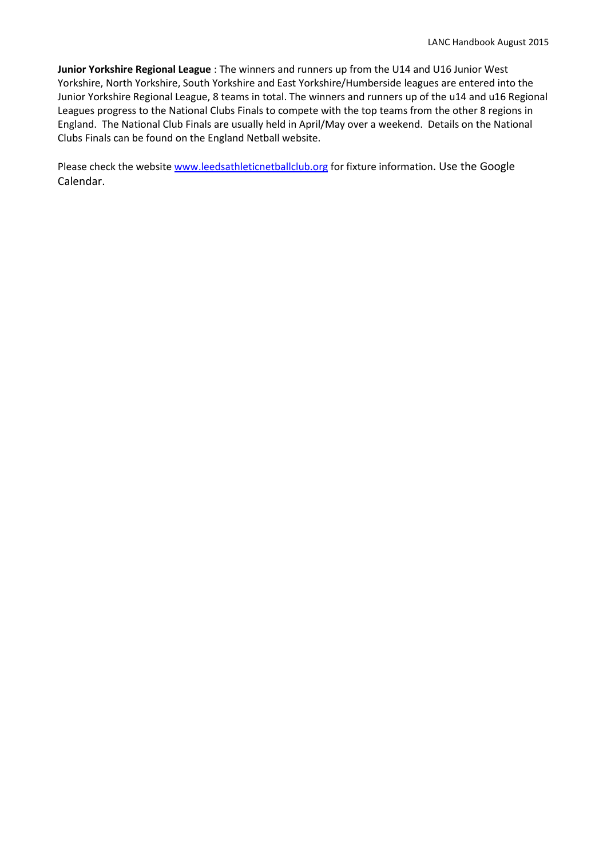**Junior Yorkshire Regional League** : The winners and runners up from the U14 and U16 Junior West Yorkshire, North Yorkshire, South Yorkshire and East Yorkshire/Humberside leagues are entered into the Junior Yorkshire Regional League, 8 teams in total. The winners and runners up of the u14 and u16 Regional Leagues progress to the National Clubs Finals to compete with the top teams from the other 8 regions in England. The National Club Finals are usually held in April/May over a weekend. Details on the National Clubs Finals can be found on the England Netball website.

Please check the website [www.leedsathleticnetballclub.org](http://www.leedsathleticnetballclub.org/) for fixture information. Use the Google Calendar.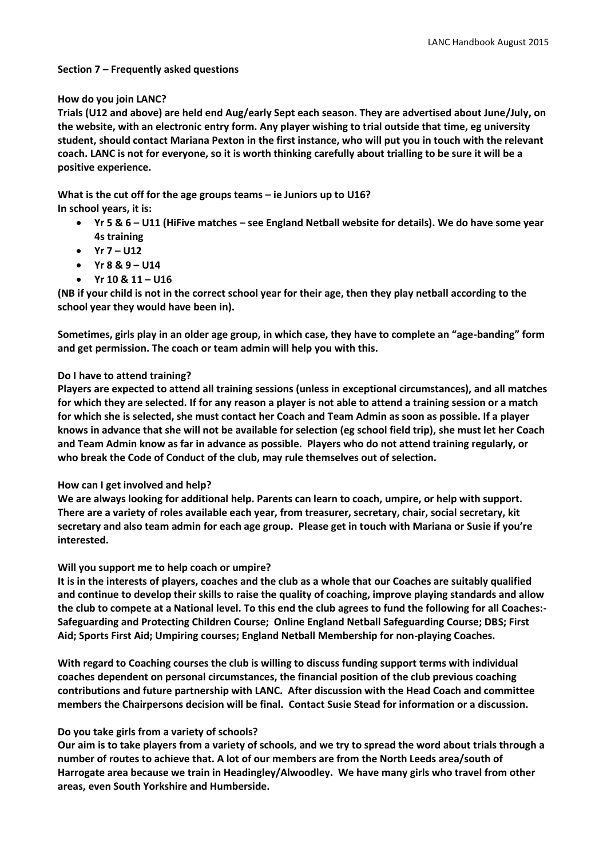#### **Section 7 – Frequently asked questions**

#### **How do you join LANC?**

**Trials (U12 and above) are held end Aug/early Sept each season. They are advertised about June/July, on the website, with an electronic entry form. Any player wishing to trial outside that time, eg university student, should contact Mariana Pexton in the first instance, who will put you in touch with the relevant coach. LANC is not for everyone, so it is worth thinking carefully about trialling to be sure it will be a positive experience.** 

**What is the cut off for the age groups teams – ie Juniors up to U16? In school years, it is:** 

- **Yr 5 & 6 – U11 (HiFive matches – see England Netball website for details). We do have some year 4s training**
- $\bullet$  **Yr 7 U12**
- **Yr 8 & 9 – U14**
- $Yr 10 & 11 116$

**(NB if your child is not in the correct school year for their age, then they play netball according to the school year they would have been in).** 

**Sometimes, girls play in an older age group, in which case, they have to complete an "age-banding" form and get permission. The coach or team admin will help you with this.** 

#### **Do I have to attend training?**

**Players are expected to attend all training sessions (unless in exceptional circumstances), and all matches for which they are selected. If for any reason a player is not able to attend a training session or a match for which she is selected, she must contact her Coach and Team Admin as soon as possible. If a player knows in advance that she will not be available for selection (eg school field trip), she must let her Coach and Team Admin know as far in advance as possible. Players who do not attend training regularly, or who break the Code of Conduct of the club, may rule themselves out of selection.**

#### **How can I get involved and help?**

**We are always looking for additional help. Parents can learn to coach, umpire, or help with support. There are a variety of roles available each year, from treasurer, secretary, chair, social secretary, kit secretary and also team admin for each age group. Please get in touch with Mariana or Susie if you're interested.** 

#### **Will you support me to help coach or umpire?**

**It is in the interests of players, coaches and the club as a whole that our Coaches are suitably qualified and continue to develop their skills to raise the quality of coaching, improve playing standards and allow the club to compete at a National level. To this end the club agrees to fund the following for all Coaches:- Safeguarding and Protecting Children Course; Online England Netball Safeguarding Course; DBS; First Aid; Sports First Aid; Umpiring courses; England Netball Membership for non-playing Coaches.**

**With regard to Coaching courses the club is willing to discuss funding support terms with individual coaches dependent on personal circumstances, the financial position of the club previous coaching contributions and future partnership with LANC. After discussion with the Head Coach and committee members the Chairpersons decision will be final. Contact Susie Stead for information or a discussion.** 

#### **Do you take girls from a variety of schools?**

**Our aim is to take players from a variety of schools, and we try to spread the word about trials through a number of routes to achieve that. A lot of our members are from the North Leeds area/south of Harrogate area because we train in Headingley/Alwoodley. We have many girls who travel from other areas, even South Yorkshire and Humberside.**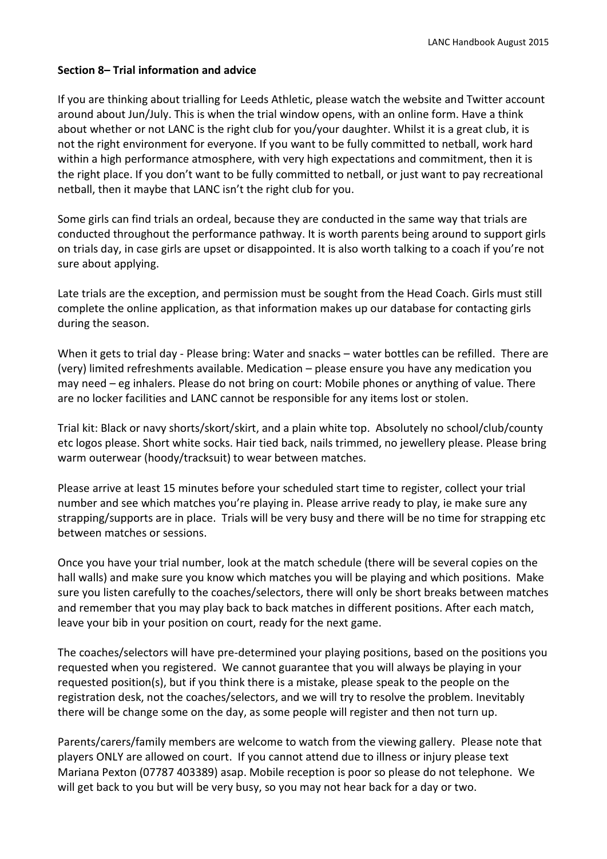# **Section 8– Trial information and advice**

If you are thinking about trialling for Leeds Athletic, please watch the website and Twitter account around about Jun/July. This is when the trial window opens, with an online form. Have a think about whether or not LANC is the right club for you/your daughter. Whilst it is a great club, it is not the right environment for everyone. If you want to be fully committed to netball, work hard within a high performance atmosphere, with very high expectations and commitment, then it is the right place. If you don't want to be fully committed to netball, or just want to pay recreational netball, then it maybe that LANC isn't the right club for you.

Some girls can find trials an ordeal, because they are conducted in the same way that trials are conducted throughout the performance pathway. It is worth parents being around to support girls on trials day, in case girls are upset or disappointed. It is also worth talking to a coach if you're not sure about applying.

Late trials are the exception, and permission must be sought from the Head Coach. Girls must still complete the online application, as that information makes up our database for contacting girls during the season.

When it gets to trial day - Please bring: Water and snacks – water bottles can be refilled. There are (very) limited refreshments available. Medication – please ensure you have any medication you may need – eg inhalers. Please do not bring on court: Mobile phones or anything of value. There are no locker facilities and LANC cannot be responsible for any items lost or stolen.

Trial kit: Black or navy shorts/skort/skirt, and a plain white top. Absolutely no school/club/county etc logos please. Short white socks. Hair tied back, nails trimmed, no jewellery please. Please bring warm outerwear (hoody/tracksuit) to wear between matches.

Please arrive at least 15 minutes before your scheduled start time to register, collect your trial number and see which matches you're playing in. Please arrive ready to play, ie make sure any strapping/supports are in place. Trials will be very busy and there will be no time for strapping etc between matches or sessions.

Once you have your trial number, look at the match schedule (there will be several copies on the hall walls) and make sure you know which matches you will be playing and which positions. Make sure you listen carefully to the coaches/selectors, there will only be short breaks between matches and remember that you may play back to back matches in different positions. After each match, leave your bib in your position on court, ready for the next game.

The coaches/selectors will have pre-determined your playing positions, based on the positions you requested when you registered. We cannot guarantee that you will always be playing in your requested position(s), but if you think there is a mistake, please speak to the people on the registration desk, not the coaches/selectors, and we will try to resolve the problem. Inevitably there will be change some on the day, as some people will register and then not turn up.

Parents/carers/family members are welcome to watch from the viewing gallery. Please note that players ONLY are allowed on court. If you cannot attend due to illness or injury please text Mariana Pexton (07787 403389) asap. Mobile reception is poor so please do not telephone. We will get back to you but will be very busy, so you may not hear back for a day or two.